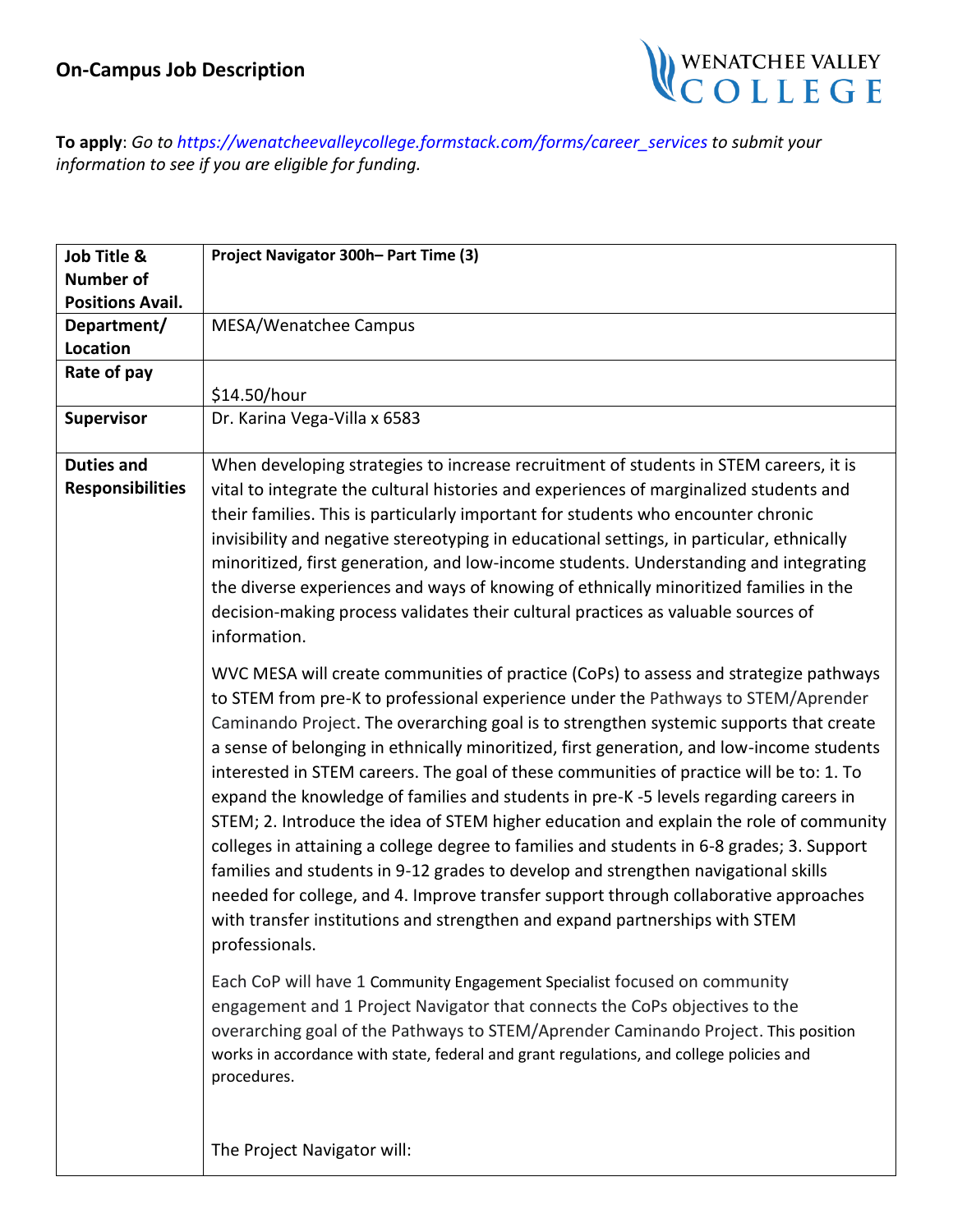

**To apply**: *Go to [https://wenatcheevalleyc](mailto:aolson@wvc.edu)ollege.formstack.com/forms/career\_services to submit your information to see if you are eligible for funding.*

| Job Title &             | Project Navigator 300h- Part Time (3)                                                     |
|-------------------------|-------------------------------------------------------------------------------------------|
| <b>Number of</b>        |                                                                                           |
| <b>Positions Avail.</b> |                                                                                           |
| Department/             | MESA/Wenatchee Campus                                                                     |
| Location                |                                                                                           |
| Rate of pay             |                                                                                           |
|                         | \$14.50/hour                                                                              |
| Supervisor              | Dr. Karina Vega-Villa x 6583                                                              |
|                         |                                                                                           |
| <b>Duties and</b>       | When developing strategies to increase recruitment of students in STEM careers, it is     |
| <b>Responsibilities</b> | vital to integrate the cultural histories and experiences of marginalized students and    |
|                         | their families. This is particularly important for students who encounter chronic         |
|                         |                                                                                           |
|                         | invisibility and negative stereotyping in educational settings, in particular, ethnically |
|                         | minoritized, first generation, and low-income students. Understanding and integrating     |
|                         | the diverse experiences and ways of knowing of ethnically minoritized families in the     |
|                         | decision-making process validates their cultural practices as valuable sources of         |
|                         | information.                                                                              |
|                         | WVC MESA will create communities of practice (CoPs) to assess and strategize pathways     |
|                         | to STEM from pre-K to professional experience under the Pathways to STEM/Aprender         |
|                         | Caminando Project. The overarching goal is to strengthen systemic supports that create    |
|                         | a sense of belonging in ethnically minoritized, first generation, and low-income students |
|                         |                                                                                           |
|                         | interested in STEM careers. The goal of these communities of practice will be to: 1. To   |
|                         | expand the knowledge of families and students in pre-K-5 levels regarding careers in      |
|                         | STEM; 2. Introduce the idea of STEM higher education and explain the role of community    |
|                         | colleges in attaining a college degree to families and students in 6-8 grades; 3. Support |
|                         | families and students in 9-12 grades to develop and strengthen navigational skills        |
|                         | needed for college, and 4. Improve transfer support through collaborative approaches      |
|                         | with transfer institutions and strengthen and expand partnerships with STEM               |
|                         | professionals.                                                                            |
|                         |                                                                                           |
|                         | Each CoP will have 1 Community Engagement Specialist focused on community                 |
|                         | engagement and 1 Project Navigator that connects the CoPs objectives to the               |
|                         | overarching goal of the Pathways to STEM/Aprender Caminando Project. This position        |
|                         | works in accordance with state, federal and grant regulations, and college policies and   |
|                         | procedures.                                                                               |
|                         |                                                                                           |
|                         |                                                                                           |
|                         | The Project Navigator will:                                                               |
|                         |                                                                                           |